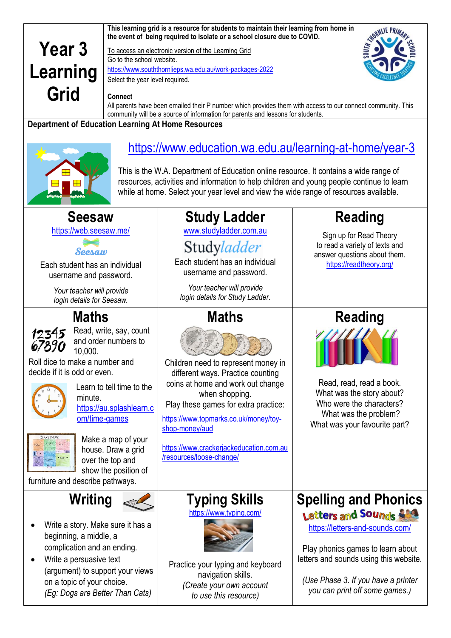#### **This learning grid is a resource for students to maintain their learning from home in the event of being required to isolate or a school closure due to COVID.**

# **Year 3 Learning Grid**

To access an electronic version of the Learning Grid Go to the school website. [https://www.souththornlieps.wa.edu.au/work-packages-2022](https://www.souththornlieps.wa.edu.au/work-packages-2020)  Select the year level required.



#### **Connect**

All parents have been emailed their P number which provides them with access to our connect community. This community will be a source of information for parents and lessons for students.

**Department of Education Learning At Home Resources**



### <https://www.education.wa.edu.au/learning-at-home/year-3>

This is the W.A. Department of Education online resource. It contains a wide range of resources, activities and information to help children and young people continue to learn while at home. Select your year level and view the wide range of resources available.

### **Seesaw**

<https://web.seesaw.me/>



Each student has an individual username and password.

> *Your teacher will provide login details for Seesaw.*

## **Maths**



Read, write, say, count and order numbers to 10,000.

Roll dice to make a number and decide if it is odd or even.



 Learn to tell time to the minute. [https://au.splashlearn.c](https://au.splashlearn.com/time-games) [om/time-games](https://au.splashlearn.com/time-games)



Make a map of your house. Draw a grid over the top and show the position of

furniture and describe pathways.



- Write a story. Make sure it has a beginning, a middle, a complication and an ending.
- Write a persuasive text (argument) to support your views on a topic of your choice. *(Eg: Dogs are Better Than Cats)*

# **Study Ladder**

[www.studyladder.com.au](http://www.studyladder.com.au/)

# Studyladder

Each student has an individual username and password.

*Your teacher will provide login details for Study Ladder*.

#### **Maths**



Children need to represent money in different ways. Practice counting coins at home and work out change when shopping. Play these games for extra practice:

[https://www.topmarks.co.uk/money/toy](https://www.topmarks.co.uk/money/toy-shop-money/aud)[shop-money/aud](https://www.topmarks.co.uk/money/toy-shop-money/aud)

[https://www.crackerjackeducation.com.au](https://www.crackerjackeducation.com.au/resources/loose-change/) [/resources/loose-change/](https://www.crackerjackeducation.com.au/resources/loose-change/)

## **Typing Skills**

<https://www.typing.com/>



Practice your typing and keyboard navigation skills. *(Create your own account to use this resource)*

# **Reading**

Sign up for Read Theory to read a variety of texts and answer questions about them. <https://readtheory.org/>

# **Reading**

Read, read, read a book. What was the story about? Who were the characters? What was the problem? What was your favourite part?

#### **Spelling and Phonics** Letters and Sounds & 14

<https://letters-and-sounds.com/>

Play phonics games to learn about letters and sounds using this website.

*(Use Phase 3. If you have a printer you can print off some games.)*